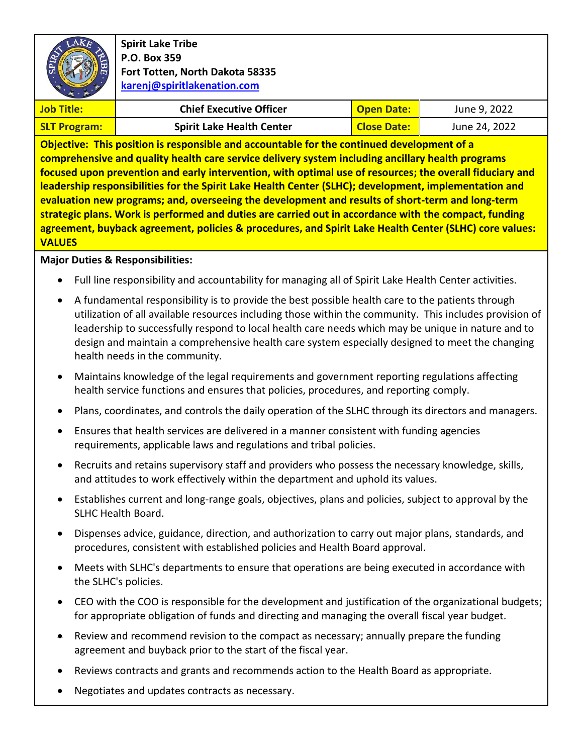

**Spirit Lake Tribe P.O. Box 359 Fort Totten, North Dakota 58335 [karenj@spiritlakenation.com](mailto:karenj@spiritlakenation.com)**

| <b>Job Title:</b>   | <b>Chief Executive Officer</b>   | <b>Open Date:</b>  | June 9, 2022  |
|---------------------|----------------------------------|--------------------|---------------|
| <b>SLT Program:</b> | <b>Spirit Lake Health Center</b> | <b>Close Date:</b> | June 24, 2022 |

**Objective: This position is responsible and accountable for the continued development of a comprehensive and quality health care service delivery system including ancillary health programs focused upon prevention and early intervention, with optimal use of resources; the overall fiduciary and leadership responsibilities for the Spirit Lake Health Center (SLHC); development, implementation and evaluation new programs; and, overseeing the development and results of short-term and long-term strategic plans. Work is performed and duties are carried out in accordance with the compact, funding agreement, buyback agreement, policies & procedures, and Spirit Lake Health Center (SLHC) core values: VALUES**

### **Major Duties & Responsibilities:**

- Full line responsibility and accountability for managing all of Spirit Lake Health Center activities.
- A fundamental responsibility is to provide the best possible health care to the patients through utilization of all available resources including those within the community. This includes provision of leadership to successfully respond to local health care needs which may be unique in nature and to design and maintain a comprehensive health care system especially designed to meet the changing health needs in the community.
- Maintains knowledge of the legal requirements and government reporting regulations affecting health service functions and ensures that policies, procedures, and reporting comply.
- Plans, coordinates, and controls the daily operation of the SLHC through its directors and managers.
- Ensures that health services are delivered in a manner consistent with funding agencies requirements, applicable laws and regulations and tribal policies.
- Recruits and retains supervisory staff and providers who possess the necessary knowledge, skills, and attitudes to work effectively within the department and uphold its values.
- Establishes current and long-range goals, objectives, plans and policies, subject to approval by the SLHC Health Board.
- Dispenses advice, guidance, direction, and authorization to carry out major plans, standards, and procedures, consistent with established policies and Health Board approval.
- Meets with SLHC's departments to ensure that operations are being executed in accordance with the SLHC's policies.
- CEO with the COO is responsible for the development and justification of the organizational budgets; for appropriate obligation of funds and directing and managing the overall fiscal year budget.
- Review and recommend revision to the compact as necessary; annually prepare the funding agreement and buyback prior to the start of the fiscal year.
- Reviews contracts and grants and recommends action to the Health Board as appropriate.
- Negotiates and updates contracts as necessary.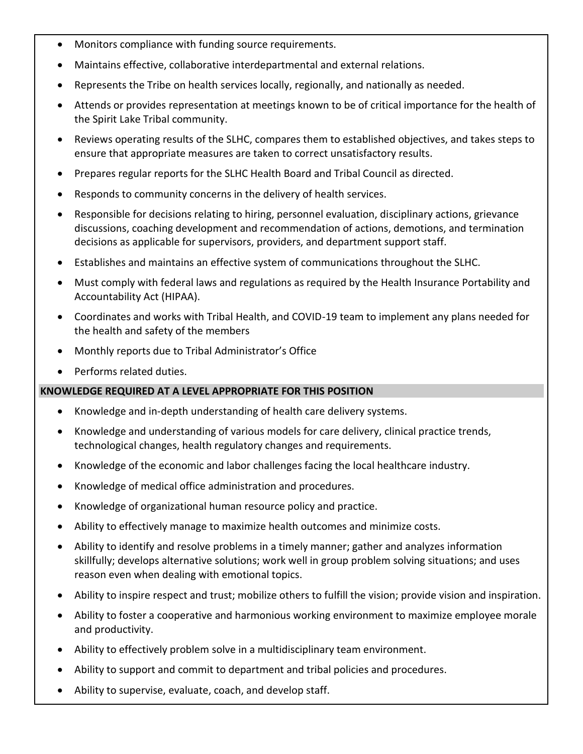- Monitors compliance with funding source requirements.
- Maintains effective, collaborative interdepartmental and external relations.
- Represents the Tribe on health services locally, regionally, and nationally as needed.
- Attends or provides representation at meetings known to be of critical importance for the health of the Spirit Lake Tribal community.
- Reviews operating results of the SLHC, compares them to established objectives, and takes steps to ensure that appropriate measures are taken to correct unsatisfactory results.
- Prepares regular reports for the SLHC Health Board and Tribal Council as directed.
- Responds to community concerns in the delivery of health services.
- Responsible for decisions relating to hiring, personnel evaluation, disciplinary actions, grievance discussions, coaching development and recommendation of actions, demotions, and termination decisions as applicable for supervisors, providers, and department support staff.
- Establishes and maintains an effective system of communications throughout the SLHC.
- Must comply with federal laws and regulations as required by the Health Insurance Portability and Accountability Act (HIPAA).
- Coordinates and works with Tribal Health, and COVID-19 team to implement any plans needed for the health and safety of the members
- Monthly reports due to Tribal Administrator's Office
- Performs related duties.

## **KNOWLEDGE REQUIRED AT A LEVEL APPROPRIATE FOR THIS POSITION**

- Knowledge and in-depth understanding of health care delivery systems.
- Knowledge and understanding of various models for care delivery, clinical practice trends, technological changes, health regulatory changes and requirements.
- Knowledge of the economic and labor challenges facing the local healthcare industry.
- Knowledge of medical office administration and procedures.
- Knowledge of organizational human resource policy and practice.
- Ability to effectively manage to maximize health outcomes and minimize costs.
- Ability to identify and resolve problems in a timely manner; gather and analyzes information skillfully; develops alternative solutions; work well in group problem solving situations; and uses reason even when dealing with emotional topics.
- Ability to inspire respect and trust; mobilize others to fulfill the vision; provide vision and inspiration.
- Ability to foster a cooperative and harmonious working environment to maximize employee morale and productivity.
- Ability to effectively problem solve in a multidisciplinary team environment.
- Ability to support and commit to department and tribal policies and procedures.
- Ability to supervise, evaluate, coach, and develop staff.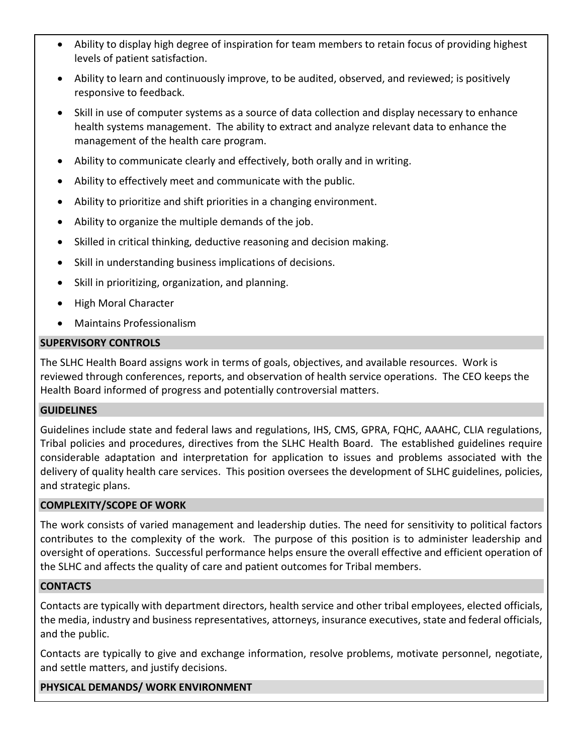- Ability to display high degree of inspiration for team members to retain focus of providing highest levels of patient satisfaction.
- Ability to learn and continuously improve, to be audited, observed, and reviewed; is positively responsive to feedback.
- Skill in use of computer systems as a source of data collection and display necessary to enhance health systems management. The ability to extract and analyze relevant data to enhance the management of the health care program.
- Ability to communicate clearly and effectively, both orally and in writing.
- Ability to effectively meet and communicate with the public.
- Ability to prioritize and shift priorities in a changing environment.
- Ability to organize the multiple demands of the job.
- Skilled in critical thinking, deductive reasoning and decision making.
- Skill in understanding business implications of decisions.
- Skill in prioritizing, organization, and planning.
- High Moral Character
- Maintains Professionalism

## **SUPERVISORY CONTROLS**

The SLHC Health Board assigns work in terms of goals, objectives, and available resources. Work is reviewed through conferences, reports, and observation of health service operations. The CEO keeps the Health Board informed of progress and potentially controversial matters.

## **GUIDELINES**

Guidelines include state and federal laws and regulations, IHS, CMS, GPRA, FQHC, AAAHC, CLIA regulations, Tribal policies and procedures, directives from the SLHC Health Board. The established guidelines require considerable adaptation and interpretation for application to issues and problems associated with the delivery of quality health care services. This position oversees the development of SLHC guidelines, policies, and strategic plans.

## **COMPLEXITY/SCOPE OF WORK**

The work consists of varied management and leadership duties. The need for sensitivity to political factors contributes to the complexity of the work. The purpose of this position is to administer leadership and oversight of operations. Successful performance helps ensure the overall effective and efficient operation of the SLHC and affects the quality of care and patient outcomes for Tribal members.

## **CONTACTS**

Contacts are typically with department directors, health service and other tribal employees, elected officials, the media, industry and business representatives, attorneys, insurance executives, state and federal officials, and the public.

Contacts are typically to give and exchange information, resolve problems, motivate personnel, negotiate, and settle matters, and justify decisions.

## **PHYSICAL DEMANDS/ WORK ENVIRONMENT**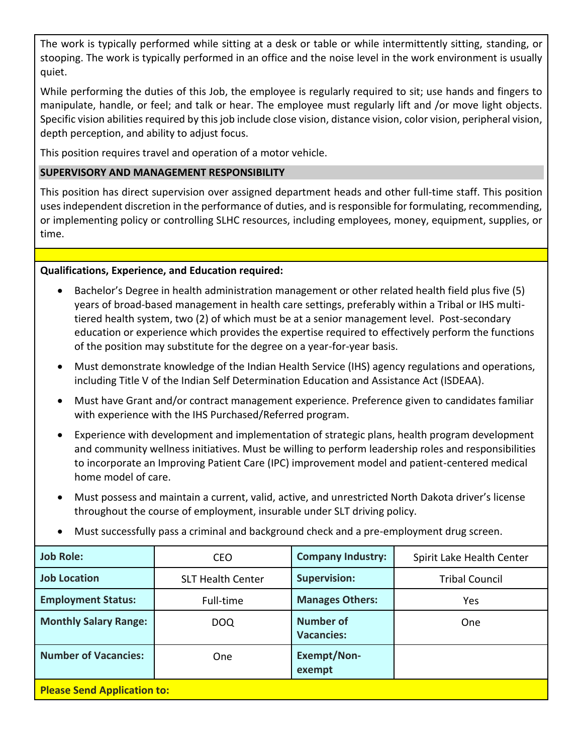The work is typically performed while sitting at a desk or table or while intermittently sitting, standing, or stooping. The work is typically performed in an office and the noise level in the work environment is usually quiet.

While performing the duties of this Job, the employee is regularly required to sit; use hands and fingers to manipulate, handle, or feel; and talk or hear. The employee must regularly lift and /or move light objects. Specific vision abilities required by this job include close vision, distance vision, color vision, peripheral vision, depth perception, and ability to adjust focus.

This position requires travel and operation of a motor vehicle.

# **SUPERVISORY AND MANAGEMENT RESPONSIBILITY**

This position has direct supervision over assigned department heads and other full-time staff. This position uses independent discretion in the performance of duties, and is responsible for formulating, recommending, or implementing policy or controlling SLHC resources, including employees, money, equipment, supplies, or time.

# **Qualifications, Experience, and Education required:**

- Bachelor's Degree in health administration management or other related health field plus five (5) years of broad-based management in health care settings, preferably within a Tribal or IHS multitiered health system, two (2) of which must be at a senior management level. Post-secondary education or experience which provides the expertise required to effectively perform the functions of the position may substitute for the degree on a year-for-year basis.
- Must demonstrate knowledge of the Indian Health Service (IHS) agency regulations and operations, including Title V of the Indian Self Determination Education and Assistance Act (ISDEAA).
- Must have Grant and/or contract management experience. Preference given to candidates familiar with experience with the IHS Purchased/Referred program.
- Experience with development and implementation of strategic plans, health program development and community wellness initiatives. Must be willing to perform leadership roles and responsibilities to incorporate an Improving Patient Care (IPC) improvement model and patient-centered medical home model of care.
- Must possess and maintain a current, valid, active, and unrestricted North Dakota driver's license throughout the course of employment, insurable under SLT driving policy.

| <b>Job Role:</b>                   | <b>CEO</b>               | <b>Company Industry:</b>       | Spirit Lake Health Center |  |
|------------------------------------|--------------------------|--------------------------------|---------------------------|--|
| <b>Job Location</b>                | <b>SLT Health Center</b> | <b>Supervision:</b>            | <b>Tribal Council</b>     |  |
| <b>Employment Status:</b>          | Full-time                | <b>Manages Others:</b>         | Yes.                      |  |
| <b>Monthly Salary Range:</b>       | <b>DOQ</b>               | Number of<br><b>Vacancies:</b> | One                       |  |
| <b>Number of Vacancies:</b>        | <b>One</b>               | <b>Exempt/Non-</b><br>exempt   |                           |  |
| <b>Please Send Application to:</b> |                          |                                |                           |  |

• Must successfully pass a criminal and background check and a pre-employment drug screen.